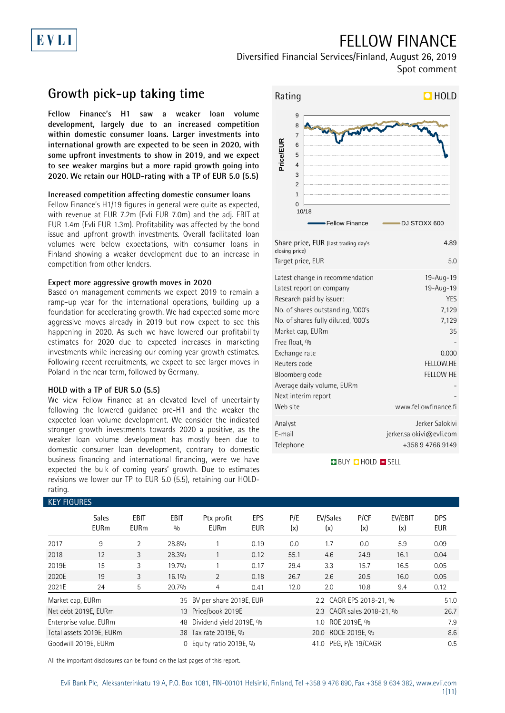## FELLOW FINANCE

Diversified Financial Services/Finland, August 26, 2019 Spot comment

### **Growth pick-up taking time**

EVLI

**Fellow Finance's H1 saw a weaker loan volume development, largely due to an increased competition within domestic consumer loans. Larger investments into international growth are expected to be seen in 2020, with some upfront investments to show in 2019, and we expect to see weaker margins but a more rapid growth going into 2020. We retain our HOLD-rating with a TP of EUR 5.0 (5.5)**

#### **Increased competition affecting domestic consumer loans**

Fellow Finance's H1/19 figures in general were quite as expected, with revenue at EUR 7.2m (Evli EUR 7.0m) and the adj. EBIT at EUR 1.4m (Evli EUR 1.3m). Profitability was affected by the bond issue and upfront growth investments. Overall facilitated loan volumes were below expectations, with consumer loans in Finland showing a weaker development due to an increase in competition from other lenders.

#### **Expect more aggressive growth moves in 2020**

Based on management comments we expect 2019 to remain a ramp-up year for the international operations, building up a foundation for accelerating growth. We had expected some more aggressive moves already in 2019 but now expect to see this happening in 2020. As such we have lowered our profitability estimates for 2020 due to expected increases in marketing investments while increasing our coming year growth estimates. Following recent recruitments, we expect to see larger moves in Poland in the near term, followed by Germany.

#### **HOLD with a TP of EUR 5.0 (5.5)**

We view Fellow Finance at an elevated level of uncertainty following the lowered guidance pre-H1 and the weaker the expected loan volume development. We consider the indicated stronger growth investments towards 2020 a positive, as the weaker loan volume development has mostly been due to domestic consumer loan development, contrary to domestic business financing and international financing, were we have expected the bulk of coming years' growth. Due to estimates revisions we lower our TP to EUR 5.0 (5.5), retaining our HOLDrating.



| Share price, EUR (Last trading day's<br>closing price) | 4.89                     |
|--------------------------------------------------------|--------------------------|
| Target price, EUR                                      | 5.0                      |
| Latest change in recommendation                        | 19-Aug-19                |
| Latest report on company                               | 19-Aug-19                |
| Research paid by issuer:                               | <b>YES</b>               |
| No. of shares outstanding, '000's                      | 7,129                    |
| No. of shares fully diluted, '000's                    | 7,129                    |
| Market cap, EURm                                       | 35                       |
| Free float, %                                          |                          |
| Exchange rate                                          | 0.000                    |
| Reuters code                                           | FELLOW.HE                |
| Bloomberg code                                         | <b>FELLOW HE</b>         |
| Average daily volume, EURm                             |                          |
| Next interim report                                    |                          |
| Web site                                               | www.fellowfinance.fi     |
| Analyst                                                | Jerker Salokivi          |
| E-mail                                                 | jerker.salokivi@evli.com |
| Telephone                                              | +358 9 4766 9149         |

#### **BUY CHOLD EISELL**

|                  | <b>KEY FIGURES</b>          |                     |             |                            |                   |            |                           |             |                |                          |  |  |
|------------------|-----------------------------|---------------------|-------------|----------------------------|-------------------|------------|---------------------------|-------------|----------------|--------------------------|--|--|
|                  | <b>Sales</b><br><b>EURm</b> | EBIT<br><b>EURm</b> | EBIT<br>0/0 | Ptx profit<br><b>EURm</b>  | EPS<br><b>EUR</b> | P/E<br>(x) | EV/Sales<br>(x)           | P/CF<br>(x) | EV/EBIT<br>(x) | <b>DPS</b><br><b>EUR</b> |  |  |
| 2017             | 9                           | $\overline{2}$      | 28.8%       |                            | 0.19              | 0.0        | 1.7                       | 0.0         | 5.9            | 0.09                     |  |  |
| 2018             | 12                          | 3                   | 28.3%       |                            | 0.12              | 55.1       | 4.6                       | 24.9        | 16.1           | 0.04                     |  |  |
| 2019E            | 15                          | 3                   | 19.7%       |                            | 0.17              | 29.4       | 3.3                       | 15.7        | 16.5           | 0.05                     |  |  |
| 2020E            | 19                          | 3                   | 16.1%       | $\overline{2}$             | 0.18              | 26.7       | 2.6                       | 20.5        | 16.0           | 0.05                     |  |  |
| 2021E            | 24                          | 5                   | 20.7%       | 4                          | 0.41              | 12.0       | 2.0                       | 10.8        | 9.4            | 0.12                     |  |  |
| Market cap, EURm |                             |                     |             | 35 BV per share 2019E, EUR |                   |            | 2.2 CAGR EPS 2018-21, %   |             |                |                          |  |  |
|                  | Net debt 2019E, EURm        |                     |             | 13 Price/book 2019E        |                   |            | 2.3 CAGR sales 2018-21, % |             |                | 26.7                     |  |  |
|                  | Enterprise value, EURm      |                     |             | 48 Dividend yield 2019E, % |                   |            | 1.0 ROE 2019E, %          |             |                |                          |  |  |
|                  | Total assets 2019E, EURm    |                     |             | 38 Tax rate 2019E, %       |                   |            | 20.0 ROCE 2019E, %        |             |                |                          |  |  |
|                  | Goodwill 2019E, EURm        |                     | $\Omega$    | Equity ratio 2019E, %      |                   |            | 41.0 PEG, P/E 19/CAGR     |             |                | 0.5                      |  |  |

All the important disclosures can be found on the last pages of this report.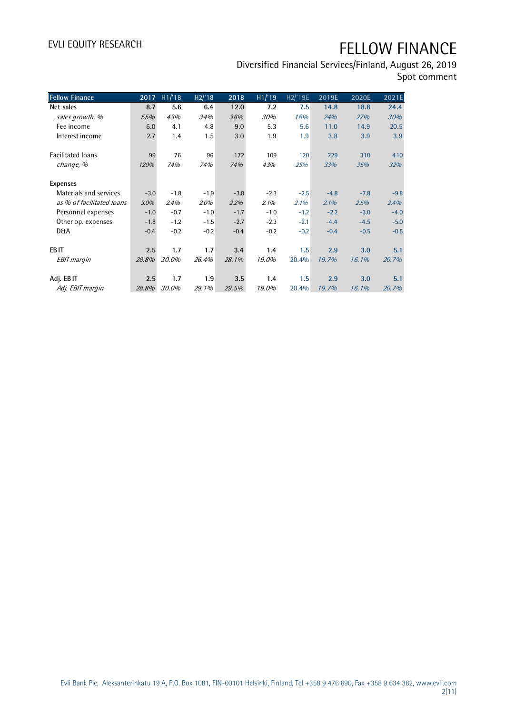Diversified Financial Services/Finland, August 26, 2019

| Spot comment |  |  |  |
|--------------|--|--|--|
|--------------|--|--|--|

| <b>Fellow Finance</b>     | 2017   | H1/18  | H2/18  | 2018   | H1/19  | H <sub>2</sub> /'19E | 2019E  | 2020E  | 2021E  |
|---------------------------|--------|--------|--------|--------|--------|----------------------|--------|--------|--------|
| Net sales                 | 8.7    | 5.6    | 6.4    | 12.0   | 7.2    | 7.5                  | 14.8   | 18.8   | 24.4   |
| sales growth, %           | 55%    | 43%    | 34%    | 38%    | 30%    | 18%                  | 24%    | 27%    | 30%    |
| Fee income                | 6.0    | 4.1    | 4.8    | 9.0    | 5.3    | 5.6                  | 11.0   | 14.9   | 20.5   |
| Interest income           | 2.7    | 1.4    | 1.5    | 3.0    | 1.9    | 1.9                  | 3.8    | 3.9    | 3.9    |
|                           |        |        |        |        |        |                      |        |        |        |
| Facilitated loans         | 99     | 76     | 96     | 172    | 109    | 120                  | 229    | 310    | 410    |
| change, %                 | 120%   | 74%    | 74%    | 74%    | 43%    | 25%                  | 33%    | 35%    | 32%    |
|                           |        |        |        |        |        |                      |        |        |        |
| <b>Expenses</b>           |        |        |        |        |        |                      |        |        |        |
| Materials and services    | $-3.0$ | $-1.8$ | $-1.9$ | $-3.8$ | $-2.3$ | $-2.5$               | $-4.8$ | $-7.8$ | $-9.8$ |
| as % of facilitated loans | 3.0%   | 2.4%   | 2.0%   | 2.2%   | 2.1%   | 2.1%                 | 2.1%   | 2.5%   | 2.4%   |
| Personnel expenses        | $-1.0$ | $-0.7$ | $-1.0$ | $-1.7$ | $-1.0$ | $-1.2$               | $-2.2$ | $-3.0$ | $-4.0$ |
| Other op. expenses        | $-1.8$ | $-1.2$ | $-1.5$ | $-2.7$ | $-2.3$ | $-2.1$               | $-4.4$ | $-4.5$ | $-5.0$ |
| <b>D&amp;A</b>            | $-0.4$ | $-0.2$ | $-0.2$ | $-0.4$ | $-0.2$ | $-0.2$               | $-0.4$ | $-0.5$ | $-0.5$ |
|                           |        |        |        |        |        |                      |        |        |        |
| <b>EBIT</b>               | 2.5    | 1.7    | 1.7    | 3.4    | 1.4    | 1.5                  | 2.9    | 3.0    | 5.1    |
| <b>EBIT</b> margin        | 28.8%  | 30.0%  | 26.4%  | 28.1%  | 19.0%  | 20.4%                | 19.7%  | 16.1%  | 20.7%  |
|                           |        |        |        |        |        |                      |        |        |        |
| Adj. EBIT                 | 2.5    | 1.7    | 1.9    | 3.5    | 1.4    | 1.5                  | 2.9    | 3.0    | 5.1    |
| Adj. EBIT margin          | 28.8%  | 30.0%  | 29.1%  | 29.5%  | 19.0%  | 20.4%                | 19.7%  | 16.1%  | 20.7%  |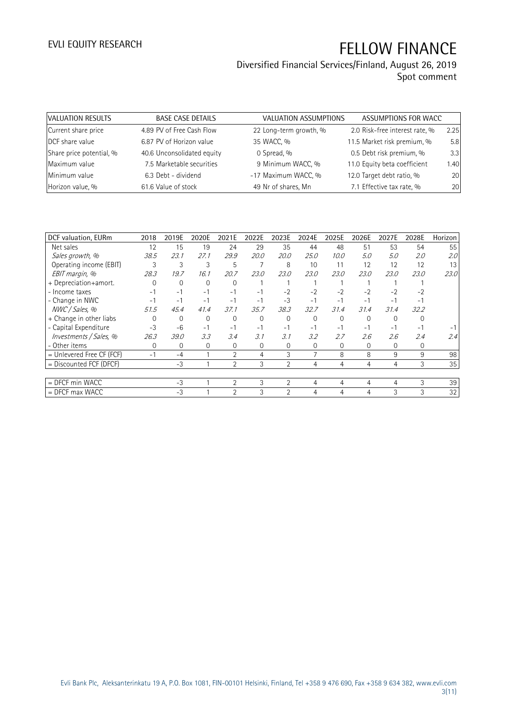# Diversified Financial Services/Finland, August 26, 2019

Spot comment

| VALUATION RESULTS        | <b>BASE CASE DETAILS</b>   | VALUATION ASSUMPTIONS  | ASSUMPTIONS FOR WACC           |      |
|--------------------------|----------------------------|------------------------|--------------------------------|------|
| Current share price      | 4.89 PV of Free Cash Flow  | 22 Long-term growth, % | 2.0 Risk-free interest rate, % | 2.25 |
| DCF share value          | 6.87 PV of Horizon value   | 35 WACC, %             | 11.5 Market risk premium, %    | 5.8  |
| Share price potential, % | 40.6 Unconsolidated equity | 0 Spread, %            | 0.5 Debt risk premium, %       | 3.3  |
| Maximum value            | 7.5 Marketable securities  | 9 Minimum WACC, %      | 11.0 Equity beta coefficient   | 1.40 |
| Minimum value            | 6.3 Debt - dividend        | -17 Maximum WACC, %    | 12.0 Target debt ratio, %      | 20   |
| Horizon value, %         | 61.6 Value of stock        | 49 Nr of shares, Mn    | 7.1 Effective tax rate, %      | 20   |

| DCF valuation, EURm         | 2018 | 2019E       | 2020E    | 2021E          | 2022E       | 2023E          | 2024E    | 2025E    | 2026E    | 2027E    | 2028E    | Horizon |
|-----------------------------|------|-------------|----------|----------------|-------------|----------------|----------|----------|----------|----------|----------|---------|
| Net sales                   | 12   | 15          | 19       | 24             | 29          | 35             | 44       | 48       | 51       | 53       | 54       | 55      |
| Sales growth, %             | 38.5 | 23.1        | 27.1     | 29.9           | <i>20.0</i> | <i>20.0</i>    | 25.0     | 10.0     | 5.0      | 5.0      | 2.0      | 2.0     |
| Operating income (EBIT)     | 3    | 3           | 3        | 5              |             | 8              | 10       | 11       | 12       | 12       | 12       | 13      |
| EBIT margin, %              | 28.3 | 19.7        | 16.1     | 20.7           | 23.0        | 23.0           | 23.0     | 23.0     | 23.0     | 23.0     | 23.0     | 23.0    |
| + Depreciation+amort.       |      | $\Omega$    | $\Omega$ | $\Omega$       |             |                |          |          |          |          |          |         |
| - Income taxes              | $-1$ | $-1$        | $-1$     | $-1$           | $-1$        | $-2$           | $-2$     | $-2$     | $-2$     | $-2$     | $-2$     |         |
| - Change in NWC             | $-1$ | $-1$        | $-1$     | $-1$           | $-1$        | $-3$           | $-1$     | $-1$     | $-1$     | $-1$     | $-1$     |         |
| NWC / Sales, %              | 51.5 | 45.4        | 41.4     | 37.1           | 35.7        | 38.3           | 32.7     | 31.4     | 31.4     | 31.4     | 32.2     |         |
| + Change in other liabs     |      | $\Omega$    | $\Omega$ | $\Omega$       | $\Omega$    | $\Omega$       | $\Omega$ | $\Omega$ | $\Omega$ | $\Omega$ | $\Omega$ |         |
| - Capital Expenditure       | $-3$ | $-6$        | $-1$     | $-1$           | $-1$        | $-1$           | $-1$     | $-1$     | $-1$     | $-1$     | $-1$     |         |
| Investments / Sales, %      | 26.3 | 39.0        | 3.3      | 3.4            | 3.1         | 3.1            | 3.2      | 2.7      | 2.6      | 2.6      | 2.4      | 2.4     |
| - Other items               | 0    | $\mathbf 0$ | $\Omega$ | 0              | $\Omega$    | $\Omega$       | 0        | $\Omega$ | 0        | $\Omega$ | 0        |         |
| $=$ Unlevered Free CF (FCF) | $-1$ | $-4$        |          | $\overline{2}$ | 4           | 3              | 7        | 8        | 8        | 9        | 9        | 98      |
| $=$ Discounted FCF (DFCF)   |      | $-3$        |          | $\overline{2}$ | 3           | $\mathfrak{D}$ | 4        | 4        | 4        | 4        | 3        | 35      |
|                             |      |             |          |                |             |                |          |          |          |          |          |         |
| $=$ DFCF min WACC           |      | $-3$        |          | 2              | 3           | 2              | 4        | 4        | 4        | 4        | 3        | 39      |
| $=$ DFCF max WACC           |      | $-3$        |          | $\mathfrak{D}$ | 3           | $\mathcal{D}$  | 4        | 4        | 4        | 3        | 3        | 32      |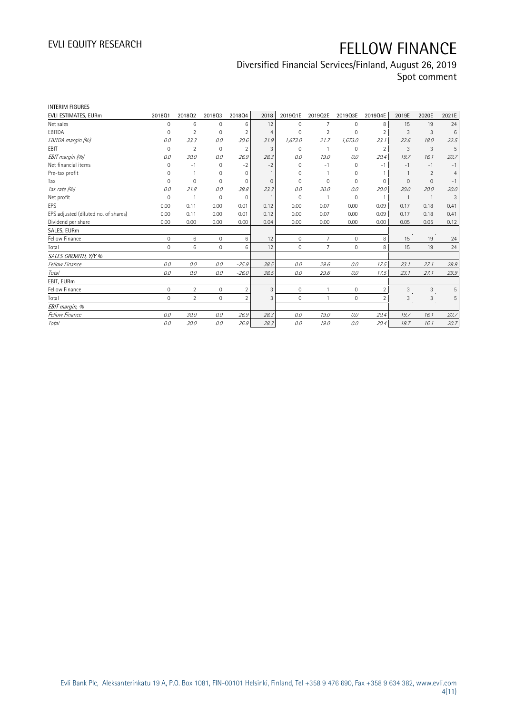## Diversified Financial Services/Finland, August 26, 2019

Spot comment

| <b>INTERIM FIGURES</b>               |                     |                |                     |                |                |                     |                |             |                          |                |                |                |
|--------------------------------------|---------------------|----------------|---------------------|----------------|----------------|---------------------|----------------|-------------|--------------------------|----------------|----------------|----------------|
| EVLI ESTIMATES, EURm                 | 201801              | 201802         | 201803              | 201804         | 2018           | 2019Q1E             | 2019Q2E        | 2019Q3E     | 2019Q4E                  | 2019E          | 2020E          | 2021E          |
| Net sales                            | 0                   | 6              | 0                   | 6              | 12             | $\mathbf{0}$        | $\overline{7}$ | $\mathbf 0$ | 8                        | 15             | 19             | 24             |
| EBITDA                               | 0                   | $\overline{2}$ | $\mathbf 0$         | 2              | 4              | $\Omega$            | 2              | 0           | $\overline{2}$           | 3              | 3              | 6              |
| EBITDA margin (%)                    | 0.0                 | 33.3           | 0.0                 | 30.6           | 31.9           | 1,673.0             | 21.7           | 1,673.0     | 23.1                     | 22.6           | 18.0           | 22.5           |
| EBIT                                 | $\mathbf 0$         | $\overline{2}$ | $\mathbf 0$         | $\overline{2}$ | 3              | $\mathbf{0}$        | $\mathbf{1}$   | 0           | $\overline{2}$           | 3              | 3              | 5              |
| EBIT margin (%)                      | 0.0                 | 30.0           | 0.0                 | 26.9           | 28.3           | 0.0                 | 19.0           | 0.0         | 20.4                     | 19.7           | 16.1           | 20.7           |
| Net financial items                  | $\Omega$            | $-1$           | $\Omega$            | $-2$           | $-2$           | $\Omega$            | $-1$           | $\Omega$    | $-1$                     | $-1$           | $-1$           | $-1$           |
| Pre-tax profit                       | $\Omega$            |                | $\Omega$            | $\Omega$       | $\mathbf{1}$   | $\Omega$            |                | 0           | $\mathbf{1}$             | $\mathbf{1}$   | 2              | $\overline{4}$ |
| Tax                                  | $\Omega$            | $\mathbf{0}$   | $\Omega$            | $\mathbf{0}$   | $\Omega$       | $\Omega$            | $\Omega$       | 0           | 0                        | $\Omega$       | $\mathbf{0}$   | $-1$           |
| Tax rate (%)                         | 0.0                 | 21.8           | 0.0                 | 39.8           | 23.3           | 0.0                 | 20.0           | 0.0         | 20.0                     | 20.0           | 20.0           | 20.0           |
| Net profit                           | $\mathbf 0$         | $\overline{1}$ | 0                   | $\mathbf 0$    | $\overline{1}$ | $\Omega$            | $\overline{1}$ | $\Omega$    | $\mathbf{1}$             | $\overline{1}$ | $\overline{1}$ | 3              |
| EPS                                  | 0.00                | 0.11           | 0.00                | 0.01           | 0.12           | 0.00                | 0.07           | 0.00        | 0.09                     | 0.17           | 0.18           | 0.41           |
| EPS adjusted (diluted no. of shares) | 0.00                | 0.11           | 0.00                | 0.01           | 0.12           | 0.00                | 0.07           | 0.00        | 0.09                     | 0.17           | 0.18           | 0.41           |
| Dividend per share                   | 0.00                | 0.00           | 0.00                | 0.00           | 0.04           | 0.00                | 0.00           | 0.00        | 0.00                     | 0.05           | 0.05           | 0.12           |
| SALES, EURm                          |                     |                |                     |                |                |                     |                |             |                          |                |                |                |
| Fellow Finance                       | $\mathsf{O}\xspace$ | 6              | $\mathsf{O}\xspace$ | 6              | 12             | $\mathsf{O}\xspace$ | $\overline{7}$ | 0           | 8                        | 15             | 19             | 24             |
| Total                                | $\mathbf 0$         | 6              | $\overline{0}$      | 6              | 12             | $\mathbf{0}$        | $\overline{7}$ | 0           | 8                        | 15             | 19             | 24             |
| SALES GROWTH, Y/Y %                  |                     |                |                     |                |                |                     |                |             |                          |                |                |                |
| <b>Fellow Finance</b>                | 0.0                 | 0.0            | 0.0                 | $-25.9$        | 38.5           | 0.0                 | 29.6           | 0.0         | 17.5                     | 23.1           | 27.1           | 29.9           |
| Total                                | 0.0                 | 0.0            | 0.0                 | $-26.0$        | 38.5           | 0.0                 | 29.6           | 0.0         | 17.5                     | 23.1           | 27.1           | 29.9           |
| EBIT, EURm                           |                     |                |                     |                |                |                     |                |             |                          |                |                |                |
| Fellow Finance                       | $\mathsf{O}\xspace$ | $\overline{2}$ | $\overline{0}$      | $\overline{2}$ | 3              | $\mathbf{0}$        |                | 0           | $\overline{2}$           | 3              | 3              | 5              |
| Total                                | $\mathbf 0$         | $\overline{2}$ | $\Omega$            | $\overline{2}$ | 3              | $\mathbf 0$         |                | $\mathbf 0$ | $\overline{\phantom{a}}$ | 3              | 3              | 5              |
| EBIT margin, %                       |                     |                |                     |                |                |                     |                |             |                          |                |                |                |
| <b>Fellow Finance</b>                | 0.0                 | 30.0           | 0.0                 | 26.9           | 28.3           | 0.0                 | 19.0           | 0.0         | 20.4                     | 19.7           | 16.1           | 20.7           |
| Total                                | 0.0                 | 30.0           | 0.0                 | 26.9           | 28.3           | 0.0                 | 19.0           | 0.0         | 20.4                     | 19.7           | 16.1           | 20.7           |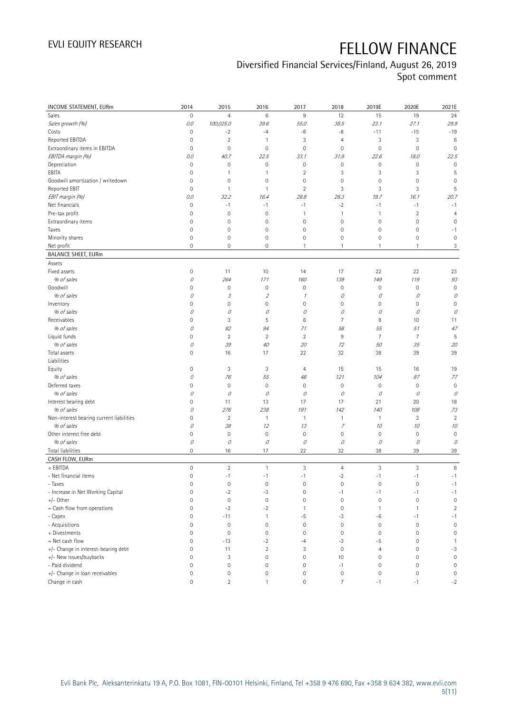### Diversified Financial Services/Finland, August 26, 2019

Spot comment

| INCOME STATEMENT, EURm                   | 2014                | 2015           | 2016                        | 2017                | 2018             | 2019E               | 2020E            | 2021E               |
|------------------------------------------|---------------------|----------------|-----------------------------|---------------------|------------------|---------------------|------------------|---------------------|
| Sales                                    | $\mathbb O$         | $\overline{4}$ | $\,6$                       | 9                   | 12               | 15                  | 19               | 24                  |
| Sales growth (%)                         | 0.0                 | 100,025.0      | 39.6                        | 55.0                | 38.5             | 23.1                | 27.1             | 29.9                |
| Costs                                    | $\mathbf 0$         | $-2$           | $-4$                        | $-6$                | -8               | $-11$               | $-15$            | $-19$               |
| Reported EBITDA                          | $\mathbf 0$         | $\sqrt{2}$     | $\mathbf{1}$                | 3                   | $\overline{4}$   | 3                   | $\sqrt{3}$       | $\,6$               |
| Extraordinary items in EBITDA            | $\mathbf 0$         | $\mathbf 0$    | $\mathbf 0$                 | $\mathsf{O}\xspace$ | $\mathbf 0$      | $\mathbf 0$         | $\mathbf 0$      | $\mathbf 0$         |
| EBITDA margin (%)                        | 0.0                 | 40.7           | 22.5                        | 33.1                | 31.9             | 22.6                | 18.0             | 22.5                |
| Depreciation                             | $\mathbf 0$         | $\mathbf 0$    | $\mathbf 0$                 | $\mathsf{O}\xspace$ | $\mathbf 0$      | $\mathsf{O}\xspace$ | $\mathbf 0$      | $\mathbf 0$         |
| EBITA                                    | $\mathbf 0$         | 1              | $\mathbf{1}$                | $\overline{2}$      | $\mathbf{3}$     | 3                   | 3                | 5                   |
| Goodwill amortization / writedown        | $\mathbf 0$         | $\mathbf 0$    | $\mathbf 0$                 | 0                   | $\mathbf 0$      | 0                   | $\mathbf 0$      | 0                   |
| Reported EBIT                            | $\mathbf 0$         | $\mathbf{1}$   | $\mathbf{1}$                | $\overline{2}$      | 3                | 3                   | 3                | 5                   |
| EBIT margin (%)                          | 0.0                 | 32.2           | 16.4                        | 28.8                | 28.3             | 19.7                | 16.1             | 20.7                |
| Net financials                           | $\mathbf 0$         | $-1$           | $-1$                        | $-1$                | $-2$             | $-1$                | $-1$             | $-1$                |
| Pre-tax profit                           | $\mathbf 0$         | $\mathbf 0$    | $\mathbf 0$                 | 1                   | $\overline{1}$   | 1                   | $\overline{2}$   | $\overline{4}$      |
| Extraordinary items                      | $\mathbf 0$         | $\mathbf 0$    | $\mathbf 0$                 | $\mathsf{O}\xspace$ | $\mathbf 0$      | $\mathsf{O}\xspace$ | $\mathbf 0$      | 0                   |
| Taxes                                    | $\mathbf 0$         | $\mathbf 0$    | $\mathsf{O}\xspace$         | $\mathsf{O}\xspace$ | $\mathbf 0$      | $\mathbf 0$         | $\mathbf 0$      | $-1$                |
| Minority shares                          | $\mathbb O$         | $\mathbf 0$    | $\mathbf 0$                 | 0                   | $\mathbf 0$      | $\mathsf{O}\xspace$ | $\mathbf 0$      | $\mathbb O$         |
| Net profit                               | $\mathbf 0$         | $\mathbf 0$    | $\mathsf{O}\xspace$         | $\mathbf{1}$        | $\mathbf{1}$     | $\mathbf{1}$        | $\mathbf{1}$     | $\mathfrak{Z}$      |
| <b>BALANCE SHEET, EURm</b>               |                     |                |                             |                     |                  |                     |                  |                     |
| Assets                                   |                     |                |                             |                     |                  |                     |                  |                     |
| Fixed assets                             | $\mathsf{O}\xspace$ | 11             | 10                          | 14                  | 17               | 22                  | 22               | 23                  |
| % of sales                               | 0                   | 264            | 171                         | 160                 | 139              | 149                 | 119              | 93                  |
| Goodwill                                 | $\mathsf{O}\xspace$ | $\mathbf 0$    | $\mathsf{O}\xspace$         | $\mathsf{O}\xspace$ | $\mathbf 0$      | $\mathbf 0$         | $\mathbf 0$      | $\mathbf 0$         |
| % of sales                               | 0                   | 3              | $\mathcal{L}_{\mathcal{L}}$ | $\mathcal I$        | 0                | 0                   | 0                | 0                   |
| Inventory                                | $\mathbf 0$         | $\mathbf 0$    | $\mathbf 0$                 | 0                   | $\mathbf 0$      | $\mathsf{O}\xspace$ | $\mathbf 0$      | $\mathbf 0$         |
| % of sales                               | 0                   | 0              | 0                           | 0                   | 0                | 0                   | 0                | 0                   |
| Receivables                              | $\mathbf 0$         | 3              | 5                           | 6                   | $\overline{7}$   | 8                   | 10               | 11                  |
| % of sales                               | 0                   | 82             | 94                          | 71                  | 58               | 55                  | 51               | 47                  |
| Liquid funds                             | $\mathbf 0$         | $\sqrt{2}$     | $\sqrt{2}$                  | $\sqrt{2}$          | $\,9$            | $\overline{7}$      | $\overline{7}$   | 5                   |
| % of sales                               | 0                   | 39             | $40\,$                      | 20                  | 72               | 50                  | 35               | 20                  |
| Total assets                             | $\mathbf 0$         | 16             | 17                          | 22                  | 32               | 38                  | 39               | 39                  |
| Liabilities                              |                     |                |                             |                     |                  |                     |                  |                     |
| Equity                                   | $\mathsf{O}\xspace$ | 3              | 3                           | 4                   | 15               | 15                  | 16               | 19                  |
| % of sales                               | 0                   | 76             | 55                          | 48                  | 121              | 104                 | 87               | 77                  |
| Deferred taxes                           | $\mathbf 0$         | $\mathbf 0$    | $\mathbf 0$                 | $\mathsf{O}\xspace$ | $\mathbf 0$      | $\mathbb O$         | $\boldsymbol{0}$ | $\mathbb O$         |
| % of sales                               | 0                   | 0              | 0                           | 0                   | 0                | 0                   | 0                | 0                   |
| Interest bearing debt                    | $\mathbf 0$         | 11             | 13                          | 17                  | 17               | 21                  | 20               | 18                  |
| % of sales                               | 0                   | 276            | 238                         | 191                 | 142              | 140                 | 108              | 73                  |
| Non-interest bearing current liabilities | 0                   | $\overline{2}$ | $\mathbf{1}$                | $\mathbf{1}$        | $\mathbf{1}$     | $\mathbf{1}$        | $\overline{2}$   | $\overline{2}$      |
| % of sales                               | 0                   | 38             | 12                          | 13                  | $\overline{z}$   | 10                  | 10               | 10                  |
| Other interest free debt                 | $\mathbf 0$         | $\mathbf 0$    | $\mathbf 0$                 | $\mathsf{O}\xspace$ | $\mathbf 0$      | $\mathbf 0$         | $\mathbf 0$      | $\mathbf 0$         |
| % of sales                               | 0                   | 0              | 0                           | $\mathcal O$        | 0                | 0                   | 0                | 0                   |
| Total liabilities                        | $\mathbf 0$         | 16             | 17                          | 22                  | 32               | 38                  | 39               | $39\,$              |
| CASH FLOW, EURm                          |                     |                |                             |                     |                  |                     |                  |                     |
| + EBITDA                                 | $\mathsf{O}\xspace$ | $\sqrt{2}$     | $\mathbf{1}$                | 3                   | $\overline{4}$   | 3                   | 3                | $\,6\,$             |
| - Net financial items                    | $\mathbb O$         | $-1$           | $-1$                        | $-1$                | $-2$             | $-1$                | $-1$             | $-1$                |
| - Taxes                                  | 0                   | 0              | 0                           | 0                   | 0                | 0                   | 0                | $-1$                |
| - Increase in Net Working Capital        | $\mathbf 0$         | $-2$           | $-3$                        | $\mathsf{O}\xspace$ | $-1$             | $-1$                | $-1$             | $-1$                |
| $+/-$ Other                              | $\mathbf 0$         | $\mathbf 0$    | $\mathbf 0$                 | 0                   | $\mathbf 0$      | $\mathbf 0$         | $\mathbf 0$      | $\mathbf 0$         |
| = Cash flow from operations              | $\mathsf{O}\xspace$ | $-2$           | $-2$                        | 1                   | $\mathbf 0$      | $\mathbf{1}$        | 1                | $\overline{2}$      |
| - Capex                                  | $\mathbf 0$         | $-11$          | $\mathbf{1}$                | $-5$                | $-3$             | $-6$                | $-1$             | $-1$                |
| - Acquisitions                           | $\mathsf{O}\xspace$ | $\mathbb O$    | $\mathbf 0$                 | $\mathsf{O}\xspace$ | $\mathbb O$      | $\mathbb O$         | $\mathbf 0$      | $\mathbf 0$         |
| + Divestments                            | $\mathbf 0$         | $\mathbf 0$    | $\mathbf 0$                 | $\mathsf{O}\xspace$ | $\mathbf 0$      | $\mathsf{O}\xspace$ | $\mathbf 0$      | $\mathbf 0$         |
| = Net cash flow                          | $\mathbf 0$         | $-13$          | $-2$                        | $-4$                | $-3$             | $-5$                | $\mathbf 0$      | $\mathbf{1}$        |
| +/- Change in interest-bearing debt      | $\mathbf 0$         | 11             | $\sqrt{2}$                  | 3                   | $\boldsymbol{0}$ | 4                   | $\mathbf 0$      | $-3$                |
| +/- New issues/buybacks                  | $\mathbf 0$         | 3              | $\mathbf 0$                 | 0                   | 10               | $\mathsf{O}\xspace$ | $\mathbf 0$      | $\mathsf{O}\xspace$ |
| - Paid dividend                          | $\mathbf 0$         | $\mathbf 0$    | $\mathbf 0$                 | $\mathsf{O}\xspace$ | $-1$             | $\mathsf{O}\xspace$ | $\mathbf 0$      | $\mathbf 0$         |
| +/- Change in loan receivables           | $\mathbf 0$         | $\mathbf 0$    | $\mathbf 0$                 | 0                   | $\mathbb O$      | $\mathsf{O}\xspace$ | $\mathbf 0$      | $\mathbb O$         |
| Change in cash                           | $\mathsf{O}\xspace$ | $\overline{2}$ | $\mathbf{1}$                | 0                   | $\overline{7}$   | $-1$                | $-1$             | $-2$                |
|                                          |                     |                |                             |                     |                  |                     |                  |                     |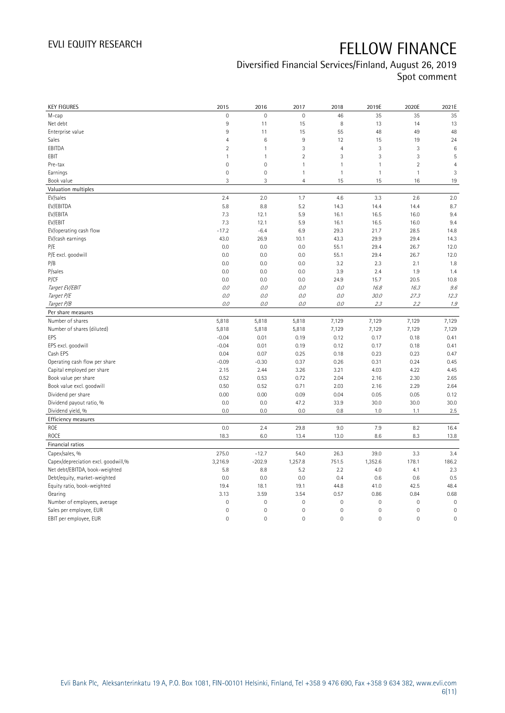### Diversified Financial Services/Finland, August 26, 2019 Spot comment

| <b>KEY FIGURES</b>                  | 2015           | 2016                | 2017           | 2018           | 2019E        | 2020E          | 2021E          |
|-------------------------------------|----------------|---------------------|----------------|----------------|--------------|----------------|----------------|
| M-cap                               | $\mathbf 0$    | $\mathbf 0$         | $\mathbf 0$    | 46             | 35           | 35             | 35             |
| Net debt                            | 9              | 11                  | 15             | 8              | 13           | 14             | 13             |
| Enterprise value                    | $\overline{9}$ | 11                  | 15             | 55             | 48           | 49             | 48             |
| Sales                               | $\overline{4}$ | $6\phantom{1}6$     | 9              | 12             | 15           | 19             | 24             |
| EBITDA                              | $\overline{2}$ | $\overline{1}$      | 3              | $\overline{4}$ | 3            | 3              | $\,6$          |
| EBIT                                | $\mathbf{1}$   | $\mathbf{1}$        | $\overline{2}$ | 3              | 3            | 3              | 5              |
| Pre-tax                             | $\mathbf 0$    | $\mathbf 0$         | $\mathbf{1}$   | 1              | $\mathbf{1}$ | $\overline{2}$ | $\overline{4}$ |
| Earnings                            | $\mathbf 0$    | $\mathsf{O}\xspace$ | $\mathbf{1}$   | $\mathbf{1}$   | $\mathbf{1}$ | $\mathbf{1}$   | 3              |
| Book value                          | 3              | 3                   | $\overline{4}$ | 15             | 15           | 16             | 19             |
| Valuation multiples                 |                |                     |                |                |              |                |                |
| EV/sales                            | 2.4            | 2.0                 | 1.7            | 4.6            | 3.3          | 2.6            | 2.0            |
| EV/EBITDA                           | 5.8            | 8.8                 | 5.2            | 14.3           | 14.4         | 14.4           | 8.7            |
| EV/EBITA                            | 7.3            | 12.1                | 5.9            | 16.1           | 16.5         | 16.0           | 9.4            |
| EV/EBIT                             | 7.3            | 12.1                | 5.9            | 16.1           | 16.5         | 16.0           | 9.4            |
| EV/operating cash flow              | $-17.2$        | $-6.4$              | 6.9            | 29.3           | 21.7         | 28.5           | 14.8           |
| EV/cash earnings                    | 43.0           | 26.9                | 10.1           | 43.3           | 29.9         | 29.4           | 14.3           |
| P/E                                 | 0.0            | 0.0                 | 0.0            | 55.1           | 29.4         | 26.7           | 12.0           |
| P/E excl. goodwill                  | 0.0            | 0.0                 | 0.0            | 55.1           | 29.4         | 26.7           | 12.0           |
| P/B                                 | 0.0            | 0.0                 | 0.0            | 3.2            | 2.3          | 2.1            | 1.8            |
| P/sales                             | 0.0            | 0.0                 | 0.0            | 3.9            | 2.4          | 1.9            | 1.4            |
| P/CF                                | 0.0            | 0.0                 | 0.0            | 24.9           | 15.7         | 20.5           | 10.8           |
| Target EV/EBIT                      | 0.0            | 0.0                 | 0.0            | 0.0            | 16.8         | 16.3           | 9.6            |
| Target P/E                          | 0.0            | 0.0                 | 0.0            | 0.0            | 30.0         | 27.3           | 12.3           |
| Target P/B                          | 0.0            | 0.0                 | 0.0            | $O.O$          | 2.3          | 2.2            | 1.9            |
| Per share measures                  |                |                     |                |                |              |                |                |
| Number of shares                    | 5,818          | 5,818               | 5,818          | 7,129          | 7,129        | 7,129          | 7,129          |
| Number of shares (diluted)          | 5,818          | 5,818               | 5,818          | 7,129          | 7,129        | 7,129          | 7,129          |
| EPS                                 | $-0.04$        | 0.01                | 0.19           | 0.12           | 0.17         | 0.18           | 0.41           |
| EPS excl. goodwill                  | $-0.04$        | 0.01                | 0.19           | 0.12           | 0.17         | 0.18           | 0.41           |
| Cash EPS                            | 0.04           | 0.07                | 0.25           | 0.18           | 0.23         | 0.23           | 0.47           |
| Operating cash flow per share       | $-0.09$        | $-0.30$             | 0.37           | 0.26           | 0.31         | 0.24           | 0.45           |
| Capital employed per share          | 2.15           | 2.44                | 3.26           | 3.21           | 4.03         | 4.22           | 4.45           |
| Book value per share                | 0.52           | 0.53                | 0.72           | 2.04           | 2.16         | 2.30           | 2.65           |
| Book value excl. goodwill           | 0.50           | 0.52                | 0.71           | 2.03           | 2.16         | 2.29           | 2.64           |
| Dividend per share                  | 0.00           | 0.00                | 0.09           | 0.04           | 0.05         | 0.05           | 0.12           |
| Dividend payout ratio, %            | 0.0            | 0.0                 | 47.2           | 33.9           | 30.0         | 30.0           | 30.0           |
| Dividend yield, %                   | 0.0            | 0.0                 | 0.0            | 0.8            | 1.0          | 1.1            | 2.5            |
| Efficiency measures                 |                |                     |                |                |              |                |                |
| ROE                                 | 0.0            | 2.4                 | 29.8           | 9.0            | 7.9          | 8.2            | 16.4           |
| ROCE                                | 18.3           | 6.0                 | 13.4           | 13.0           | 8.6          | 8.3            | 13.8           |
| Financial ratios                    |                |                     |                |                |              |                |                |
| Capex/sales, %                      | 275.0          | $-12.7$             | 54.0           | 26.3           | 39.0         | 3.3            | 3.4            |
| Capex/depreciation excl. goodwill,% | 3,216.9        | $-202.9$            | 1,257.8        | 751.5          | 1,352.6      | 178.1          | 186.2          |
| Net debt/EBITDA, book-weighted      | 5.8            | 8.8                 | 5.2            | 2.2            | 4.0          | 4.1            | 2.3            |
| Debt/equity, market-weighted        | 0.0            | 0.0                 | 0.0            | 0.4            | 0.6          | 0.6            | 0.5            |
| Equity ratio, book-weighted         | 19.4           | 18.1                | 19.1           | 44.8           | 41.0         | 42.5           | 48.4           |
| Gearing                             | 3.13           | 3.59                | 3.54           | 0.57           | 0.86         | 0.84           | 0.68           |
| Number of employees, average        | $\mathbf 0$    | $\mathbf 0$         | $\mathbf 0$    | 0              | $\mathbf 0$  | $\mathbf 0$    | $\mathbf 0$    |
| Sales per employee, EUR             | $\mathbf 0$    | $\mathbf 0$         | $\mathbf 0$    | 0              | $\mathbf 0$  | 0              | $\mathbf 0$    |
| EBIT per employee, EUR              | $\mathbf 0$    | $\mathbf 0$         | $\mathbf 0$    | 0              | $\mathbf 0$  | $\mathbf 0$    | $\mathbf 0$    |
|                                     |                |                     |                |                |              |                |                |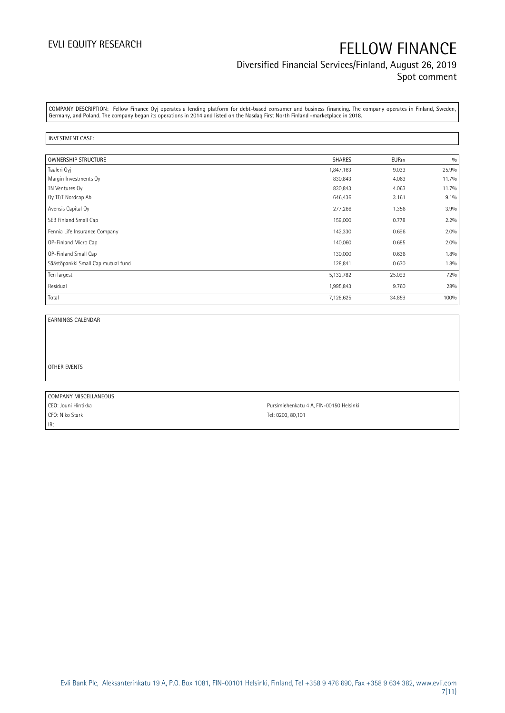### Diversified Financial Services/Finland, August 26, 2019 Spot comment

COMPANY DESCRIPTION: Fellow Finance Oyj operates a lending platform for debt-based consumer and business financing. The company operates in Finland, Sweden, Germany, and Poland. The company began its operations in 2014 and listed on the Nasdaq First North Finland -marketplace in 2018.

#### INVESTMENT CASE:

| OWNERSHIP STRUCTURE                | <b>SHARES</b> | <b>EURm</b> | 0/0   |
|------------------------------------|---------------|-------------|-------|
| Taaleri Oyj                        | 1,847,163     | 9.033       | 25.9% |
| Margin Investments Oy              | 830,843       | 4.063       | 11.7% |
| TN Ventures Oy                     | 830,843       | 4.063       | 11.7% |
| Oy T&T Nordcap Ab                  | 646,436       | 3.161       | 9.1%  |
| Avensis Capital Oy                 | 277,266       | 1.356       | 3.9%  |
| SEB Finland Small Cap              | 159,000       | 0.778       | 2.2%  |
| Fennia Life Insurance Company      | 142,330       | 0.696       | 2.0%  |
| OP-Finland Micro Cap               | 140,060       | 0.685       | 2.0%  |
| OP-Finland Small Cap               | 130,000       | 0.636       | 1.8%  |
| Säästöpankki Small Cap mutual fund | 128,841       | 0.630       | 1.8%  |
| Ten largest                        | 5,132,782     | 25.099      | 72%   |
| Residual                           | 1,995,843     | 9.760       | 28%   |
| Total                              | 7,128,625     | 34.859      | 100%  |

EARNINGS CALENDAR

OTHER EVENTS

COMPANY MISCELLANEOUS CFO: Niko Stark Tel: 0203, 80,101 IR:

CEO: Jouni Hintikka **Pursimiehenkatu 4 A, FIN-00150 Helsinki**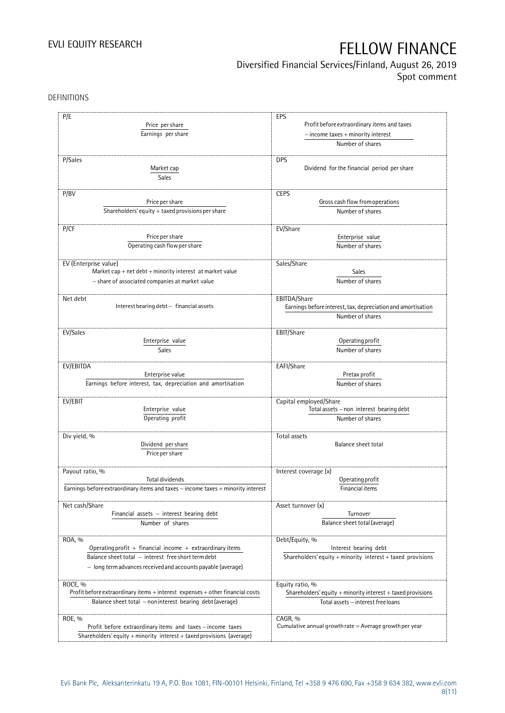### Diversified Financial Services/Finland, August 26, 2019

Spot comment

DEFINITIONS

| P/E                                                                                  | EPS                                                                          |
|--------------------------------------------------------------------------------------|------------------------------------------------------------------------------|
| Price per share                                                                      | Profit before extraordinary items and taxes                                  |
|                                                                                      |                                                                              |
| Earnings per share                                                                   | - income taxes + minority interest                                           |
|                                                                                      | Number of shares                                                             |
|                                                                                      |                                                                              |
| P/Sales                                                                              | <b>DPS</b>                                                                   |
| Market cap                                                                           | Dividend for the financial period per share                                  |
| Sales                                                                                |                                                                              |
|                                                                                      |                                                                              |
| P/BV                                                                                 | <b>CEPS</b>                                                                  |
| Price per share                                                                      | Gross cash flow from operations                                              |
| Shareholders' equity $+$ taxed provisions per share                                  | Number of shares                                                             |
| P/CF                                                                                 | EV/Share                                                                     |
| Price per share                                                                      | Enterprise value                                                             |
|                                                                                      |                                                                              |
| Operating cash flow per share                                                        | Number of shares                                                             |
|                                                                                      |                                                                              |
| EV (Enterprise value)<br>Market cap + net $debt$ + minority interest at market value | Sales/Share                                                                  |
|                                                                                      | Sales                                                                        |
| - share of associated companies at market value                                      | Number of shares                                                             |
|                                                                                      |                                                                              |
| Net debt<br>Interest bearing debt - financial assets                                 | EBITDA/Share<br>Earnings before interest, tax, depreciation and amortisation |
|                                                                                      |                                                                              |
|                                                                                      | Number of shares                                                             |
| EV/Sales                                                                             | EBIT/Share                                                                   |
| Enterprise value                                                                     | Operating profit                                                             |
| Sales                                                                                | Number of shares                                                             |
|                                                                                      |                                                                              |
| EV/EBITDA                                                                            | EAFI/Share                                                                   |
| Enterprise value                                                                     | Pretax profit                                                                |
| Earnings before interest, tax, depreciation and amortisation                         | Number of shares                                                             |
|                                                                                      |                                                                              |
| EV/EBIT                                                                              | Capital employed/Share                                                       |
| Enterprise value                                                                     | Total assets - non interest bearing debt                                     |
| Operating profit                                                                     | Number of shares                                                             |
|                                                                                      |                                                                              |
| Div yield, %                                                                         | Total assets                                                                 |
| Dividend per share                                                                   | Balance sheet total                                                          |
| Price per share                                                                      |                                                                              |
|                                                                                      |                                                                              |
| Payout ratio, %                                                                      | Interest coverage (x)                                                        |
| Total dividends                                                                      | Operating profit                                                             |
| Earnings before extraordinary items and taxes - income taxes + minority interest     | Financial items                                                              |
|                                                                                      |                                                                              |
| Net cash/Share                                                                       | Asset turnover (x)                                                           |
| Financial assets - interest bearing debt                                             | Turnover                                                                     |
| Number of shares                                                                     | Balance sheet total (average)                                                |
|                                                                                      |                                                                              |
| ROA, %                                                                               | Debt/Equity, %                                                               |
| Operating profit $+$ financial income $+$ extraordinary items                        | Interest bearing debt                                                        |
| Balance sheet total - interest free short term debt                                  | Shareholders' equity $+$ minority interest $+$ taxed provisions              |
| - long term advances received and accounts payable (average)                         |                                                                              |
|                                                                                      |                                                                              |
| ROCE, %                                                                              | Equity ratio, %                                                              |
| Profit before extraordinary items + interest expenses + other financial costs        | Shareholders' equity + minority interest + taxed provisions                  |
| Balance sheet total - non interest bearing debt (average)                            | Total assets - interest free loans                                           |
|                                                                                      |                                                                              |
| ROE, %                                                                               | CAGR, %<br>Cumulative annual growth rate $=$ Average growth per year         |
| Profit before extraordinary items and taxes - income taxes                           |                                                                              |
| Shareholders' equity + minority interest + taxed provisions (average)                |                                                                              |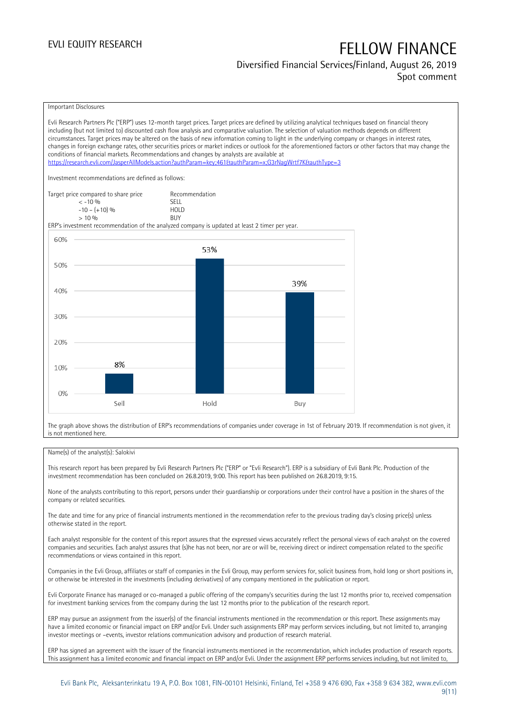#### Diversified Financial Services/Finland, August 26, 2019 Spot comment

### Important Disclosures

Evli Research Partners Plc ("ERP") uses 12-month target prices. Target prices are defined by utilizing analytical techniques based on financial theory including (but not limited to) discounted cash flow analysis and comparative valuation. The selection of valuation methods depends on different circumstances. Target prices may be altered on the basis of new information coming to light in the underlying company or changes in interest rates, changes in foreign exchange rates, other securities prices or market indices or outlook for the aforementioned factors or other factors that may change the conditions of financial markets. Recommendations and changes by analysts are available at <https://research.evli.com/JasperAllModels.action?authParam=key;461&authParam=x;G3rNagWrtf7K&authType=3> Investment recommendations are defined as follows: Target price compared to share price Recommendation<br>  $\leq 10\%$  $\langle 5, 10, 10 \rangle$  SELL<br>  $\langle -10, 1, 10 \rangle$   $\langle 6, 10 \rangle$   $\langle 10, 10 \rangle$  $-10 - (+10) \%$  HOL<br>  $> 10 \%$  RIJY  $> 10\%$ ERP's investment recommendation of the analyzed company is updated at least 2 timer per year. 60% 53% 50% 39% 40% 30% 20% 8% 10%  $0%$ Sell Hold Buy

The graph above shows the distribution of ERP's recommendations of companies under coverage in 1st of February 2019. If recommendation is not given, it is not mentioned here.

#### Name(s) of the analyst(s): Salokivi

This research report has been prepared by Evli Research Partners Plc ("ERP" or "Evli Research"). ERP is a subsidiary of Evli Bank Plc. Production of the investment recommendation has been concluded on 26.8.2019, 9:00. This report has been published on 26.8.2019, 9:15.

None of the analysts contributing to this report, persons under their guardianship or corporations under their control have a position in the shares of the company or related securities.

The date and time for any price of financial instruments mentioned in the recommendation refer to the previous trading day's closing price(s) unless otherwise stated in the report.

Each analyst responsible for the content of this report assures that the expressed views accurately reflect the personal views of each analyst on the covered companies and securities. Each analyst assures that (s)he has not been, nor are or will be, receiving direct or indirect compensation related to the specific recommendations or views contained in this report.

Companies in the Evli Group, affiliates or staff of companies in the Evli Group, may perform services for, solicit business from, hold long or short positions in, or otherwise be interested in the investments (including derivatives) of any company mentioned in the publication or report.

Evli Corporate Finance has managed or co-managed a public offering of the company's securities during the last 12 months prior to, received compensation for investment banking services from the company during the last 12 months prior to the publication of the research report.

ERP may pursue an assignment from the issuer(s) of the financial instruments mentioned in the recommendation or this report. These assignments may have a limited economic or financial impact on ERP and/or Evli. Under such assignments ERP may perform services including, but not limited to, arranging investor meetings or –events, investor relations communication advisory and production of research material.

ERP has signed an agreement with the issuer of the financial instruments mentioned in the recommendation, which includes production of research reports. This assignment has a limited economic and financial impact on ERP and/or Evli. Under the assignment ERP performs services including, but not limited to,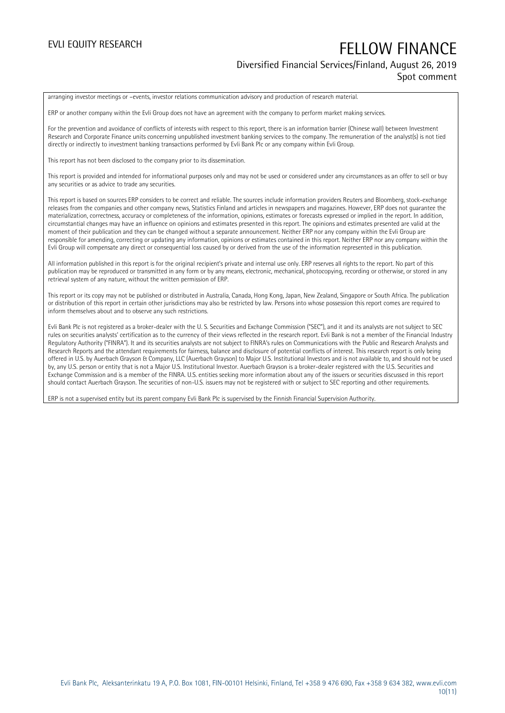#### Diversified Financial Services/Finland, August 26, 2019 Spot comment

arranging investor meetings or –events, investor relations communication advisory and production of research material.

ERP or another company within the Evli Group does not have an agreement with the company to perform market making services.

For the prevention and avoidance of conflicts of interests with respect to this report, there is an information barrier (Chinese wall) between Investment Research and Corporate Finance units concerning unpublished investment banking services to the company. The remuneration of the analyst(s) is not tied directly or indirectly to investment banking transactions performed by Evli Bank Plc or any company within Evli Group.

This report has not been disclosed to the company prior to its dissemination.

This report is provided and intended for informational purposes only and may not be used or considered under any circumstances as an offer to sell or buy any securities or as advice to trade any securities.

This report is based on sources ERP considers to be correct and reliable. The sources include information providers Reuters and Bloomberg, stock-exchange releases from the companies and other company news, Statistics Finland and articles in newspapers and magazines. However, ERP does not guarantee the materialization, correctness, accuracy or completeness of the information, opinions, estimates or forecasts expressed or implied in the report. In addition, circumstantial changes may have an influence on opinions and estimates presented in this report. The opinions and estimates presented are valid at the moment of their publication and they can be changed without a separate announcement. Neither ERP nor any company within the Evli Group are responsible for amending, correcting or updating any information, opinions or estimates contained in this report. Neither ERP nor any company within the Evli Group will compensate any direct or consequential loss caused by or derived from the use of the information represented in this publication.

All information published in this report is for the original recipient's private and internal use only. ERP reserves all rights to the report. No part of this publication may be reproduced or transmitted in any form or by any means, electronic, mechanical, photocopying, recording or otherwise, or stored in any retrieval system of any nature, without the written permission of ERP.

This report or its copy may not be published or distributed in Australia, Canada, Hong Kong, Japan, New Zealand, Singapore or South Africa. The publication or distribution of this report in certain other jurisdictions may also be restricted by law. Persons into whose possession this report comes are required to inform themselves about and to observe any such restrictions.

Evli Bank Plc is not registered as a broker-dealer with the U. S. Securities and Exchange Commission ("SEC"), and it and its analysts are not subject to SEC rules on securities analysts' certification as to the currency of their views reflected in the research report. Evli Bank is not a member of the Financial Industry Regulatory Authority ("FINRA"). It and its securities analysts are not subject to FINRA's rules on Communications with the Public and Research Analysts and Research Reports and the attendant requirements for fairness, balance and disclosure of potential conflicts of interest. This research report is only being offered in U.S. by Auerbach Grayson & Company, LLC (Auerbach Grayson) to Major U.S. Institutional Investors and is not available to, and should not be used by, any U.S. person or entity that is not a Major U.S. Institutional Investor. Auerbach Grayson is a broker-dealer registered with the U.S. Securities and Exchange Commission and is a member of the FINRA. U.S. entities seeking more information about any of the issuers or securities discussed in this report should contact Auerbach Grayson. The securities of non-U.S. issuers may not be registered with or subject to SEC reporting and other requirements.

ERP is not a supervised entity but its parent company Evli Bank Plc is supervised by the Finnish Financial Supervision Authority.